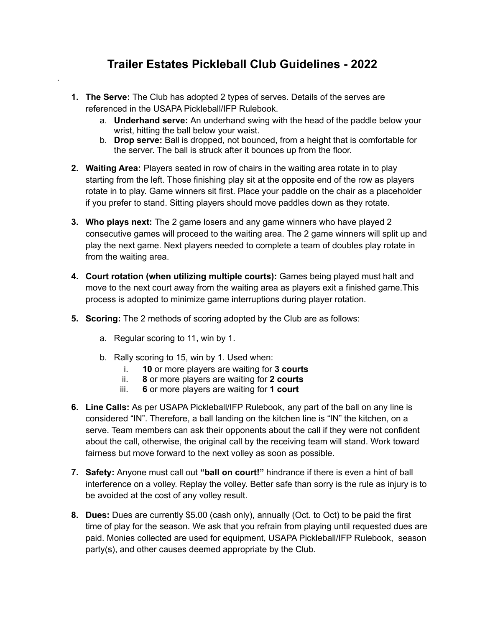## **Trailer Estates Pickleball Club Guidelines - 2022**

- **1. The Serve:** The Club has adopted 2 types of serves. Details of the serves are referenced in the USAPA Pickleball/IFP Rulebook.
	- a. **Underhand serve:** An underhand swing with the head of the paddle below your wrist, hitting the ball below your waist.
	- b. **Drop serve:** Ball is dropped, not bounced, from a height that is comfortable for the server. The ball is struck after it bounces up from the floor.
- **2. Waiting Area:** Players seated in row of chairs in the waiting area rotate in to play starting from the left. Those finishing play sit at the opposite end of the row as players rotate in to play. Game winners sit first. Place your paddle on the chair as a placeholder if you prefer to stand. Sitting players should move paddles down as they rotate.
- **3. Who plays next:** The 2 game losers and any game winners who have played 2 consecutive games will proceed to the waiting area. The 2 game winners will split up and play the next game. Next players needed to complete a team of doubles play rotate in from the waiting area.
- **4. Court rotation (when utilizing multiple courts):** Games being played must halt and move to the next court away from the waiting area as players exit a finished game.This process is adopted to minimize game interruptions during player rotation.
- **5. Scoring:** The 2 methods of scoring adopted by the Club are as follows:
	- a. Regular scoring to 11, win by 1.

.

- b. Rally scoring to 15, win by 1. Used when:
	- i. **10** or more players are waiting for **3 courts**
	- ii. **8** or more players are waiting for **2 courts**
	- iii. **6** or more players are waiting for **1 court**
- **6. Line Calls:** As per USAPA Pickleball/IFP Rulebook, any part of the ball on any line is considered "IN". Therefore, a ball landing on the kitchen line is "IN" the kitchen, on a serve. Team members can ask their opponents about the call if they were not confident about the call, otherwise, the original call by the receiving team will stand. Work toward fairness but move forward to the next volley as soon as possible.
- **7. Safety:** Anyone must call out **"ball on court!"** hindrance if there is even a hint of ball interference on a volley. Replay the volley. Better safe than sorry is the rule as injury is to be avoided at the cost of any volley result.
- **8. Dues:** Dues are currently \$5.00 (cash only), annually (Oct. to Oct) to be paid the first time of play for the season. We ask that you refrain from playing until requested dues are paid. Monies collected are used for equipment, USAPA Pickleball/IFP Rulebook, season party(s), and other causes deemed appropriate by the Club.